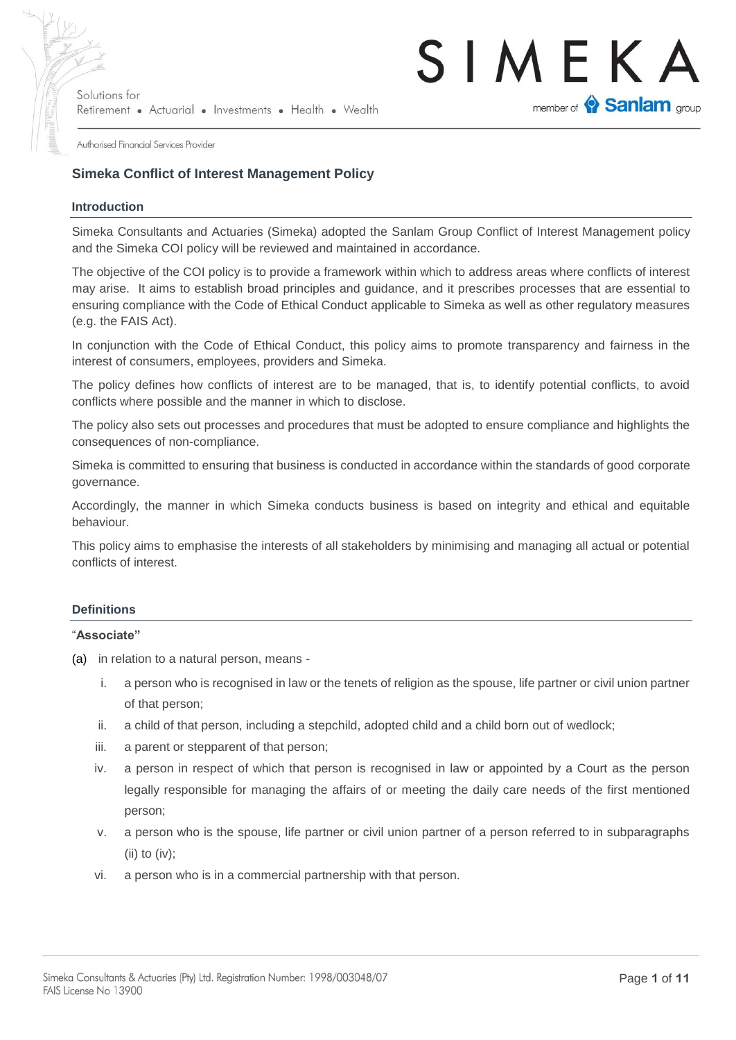

Authorised Financial Services Provider

### **Simeka Conflict of Interest Management Policy**

#### **Introduction**

Simeka Consultants and Actuaries (Simeka) adopted the Sanlam Group Conflict of Interest Management policy and the Simeka COI policy will be reviewed and maintained in accordance.

The objective of the COI policy is to provide a framework within which to address areas where conflicts of interest may arise. It aims to establish broad principles and guidance, and it prescribes processes that are essential to ensuring compliance with the Code of Ethical Conduct applicable to Simeka as well as other regulatory measures (e.g. the FAIS Act).

In conjunction with the Code of Ethical Conduct, this policy aims to promote transparency and fairness in the interest of consumers, employees, providers and Simeka.

The policy defines how conflicts of interest are to be managed, that is, to identify potential conflicts, to avoid conflicts where possible and the manner in which to disclose.

The policy also sets out processes and procedures that must be adopted to ensure compliance and highlights the consequences of non-compliance.

Simeka is committed to ensuring that business is conducted in accordance within the standards of good corporate governance.

Accordingly, the manner in which Simeka conducts business is based on integrity and ethical and equitable behaviour.

This policy aims to emphasise the interests of all stakeholders by minimising and managing all actual or potential conflicts of interest.

#### **Definitions**

#### "**Associate"**

(a) in relation to a natural person, means -

- i. a person who is recognised in law or the tenets of religion as the spouse, life partner or civil union partner of that person;
- ii. a child of that person, including a stepchild, adopted child and a child born out of wedlock;
- iii. a parent or stepparent of that person;
- iv. a person in respect of which that person is recognised in law or appointed by a Court as the person legally responsible for managing the affairs of or meeting the daily care needs of the first mentioned person;
- v. a person who is the spouse, life partner or civil union partner of a person referred to in subparagraphs (ii) to (iv);
- vi. a person who is in a commercial partnership with that person.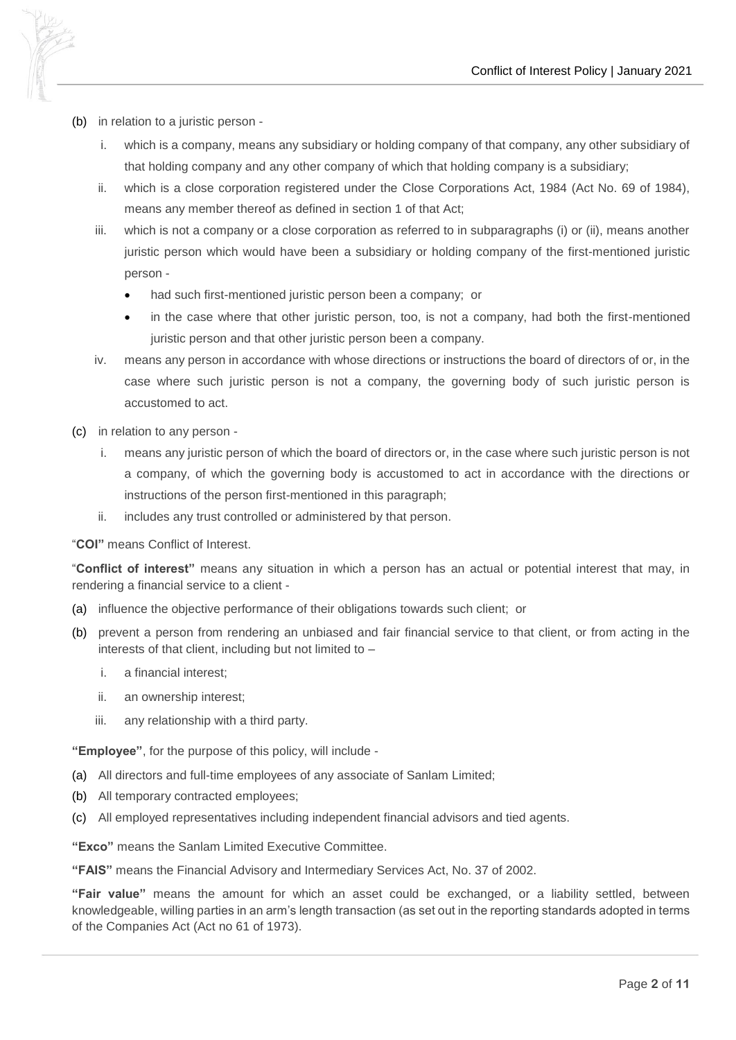- (b) in relation to a juristic person
	- i. which is a company, means any subsidiary or holding company of that company, any other subsidiary of that holding company and any other company of which that holding company is a subsidiary;
	- ii. which is a close corporation registered under the Close Corporations Act, 1984 (Act No. 69 of 1984), means any member thereof as defined in section 1 of that Act;
	- iii. which is not a company or a close corporation as referred to in subparagraphs (i) or (ii), means another juristic person which would have been a subsidiary or holding company of the first-mentioned juristic person
		- had such first-mentioned juristic person been a company; or
		- in the case where that other juristic person, too, is not a company, had both the first-mentioned juristic person and that other juristic person been a company.
	- iv. means any person in accordance with whose directions or instructions the board of directors of or, in the case where such juristic person is not a company, the governing body of such juristic person is accustomed to act.
- (c) in relation to any person
	- i. means any juristic person of which the board of directors or, in the case where such juristic person is not a company, of which the governing body is accustomed to act in accordance with the directions or instructions of the person first-mentioned in this paragraph;
	- ii. includes any trust controlled or administered by that person.

"**COI"** means Conflict of Interest.

"**Conflict of interest"** means any situation in which a person has an actual or potential interest that may, in rendering a financial service to a client -

- (a) influence the objective performance of their obligations towards such client; or
- (b) prevent a person from rendering an unbiased and fair financial service to that client, or from acting in the interests of that client, including but not limited to –
	- i. a financial interest;
	- ii. an ownership interest;
	- iii. any relationship with a third party.

**"Employee"**, for the purpose of this policy, will include -

- (a) All directors and full-time employees of any associate of Sanlam Limited;
- (b) All temporary contracted employees;
- (c) All employed representatives including independent financial advisors and tied agents.

**"Exco"** means the Sanlam Limited Executive Committee.

**"FAIS"** means the Financial Advisory and Intermediary Services Act, No. 37 of 2002.

**"Fair value"** means the amount for which an asset could be exchanged, or a liability settled, between knowledgeable, willing parties in an arm's length transaction (as set out in the reporting standards adopted in terms of the Companies Act (Act no 61 of 1973).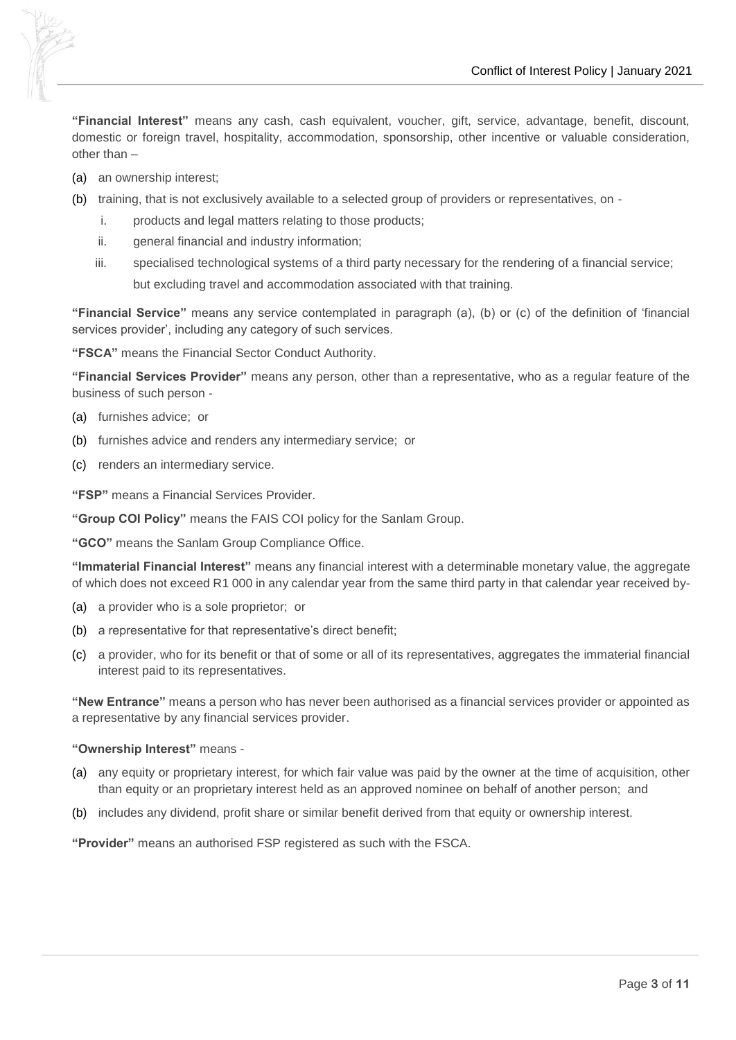

**"Financial Interest"** means any cash, cash equivalent, voucher, gift, service, advantage, benefit, discount, domestic or foreign travel, hospitality, accommodation, sponsorship, other incentive or valuable consideration, other than –

- (a) an ownership interest;
- (b) training, that is not exclusively available to a selected group of providers or representatives, on
	- i. products and legal matters relating to those products;
	- ii. general financial and industry information;
	- iii. specialised technological systems of a third party necessary for the rendering of a financial service; but excluding travel and accommodation associated with that training.

**"Financial Service"** means any service contemplated in paragraph (a), (b) or (c) of the definition of 'financial services provider', including any category of such services.

**"FSCA"** means the Financial Sector Conduct Authority.

**"Financial Services Provider"** means any person, other than a representative, who as a regular feature of the business of such person -

- (a) furnishes advice; or
- (b) furnishes advice and renders any intermediary service; or
- (c) renders an intermediary service.

**"FSP"** means a Financial Services Provider.

**"Group COI Policy"** means the FAIS COI policy for the Sanlam Group.

**"GCO"** means the Sanlam Group Compliance Office.

**"Immaterial Financial Interest"** means any financial interest with a determinable monetary value, the aggregate of which does not exceed R1 000 in any calendar year from the same third party in that calendar year received by-

- (a) a provider who is a sole proprietor; or
- (b) a representative for that representative's direct benefit;
- (c) a provider, who for its benefit or that of some or all of its representatives, aggregates the immaterial financial interest paid to its representatives.

**"New Entrance"** means a person who has never been authorised as a financial services provider or appointed as a representative by any financial services provider.

#### **"Ownership Interest"** means -

- (a) any equity or proprietary interest, for which fair value was paid by the owner at the time of acquisition, other than equity or an proprietary interest held as an approved nominee on behalf of another person; and
- (b) includes any dividend, profit share or similar benefit derived from that equity or ownership interest.

**"Provider"** means an authorised FSP registered as such with the FSCA.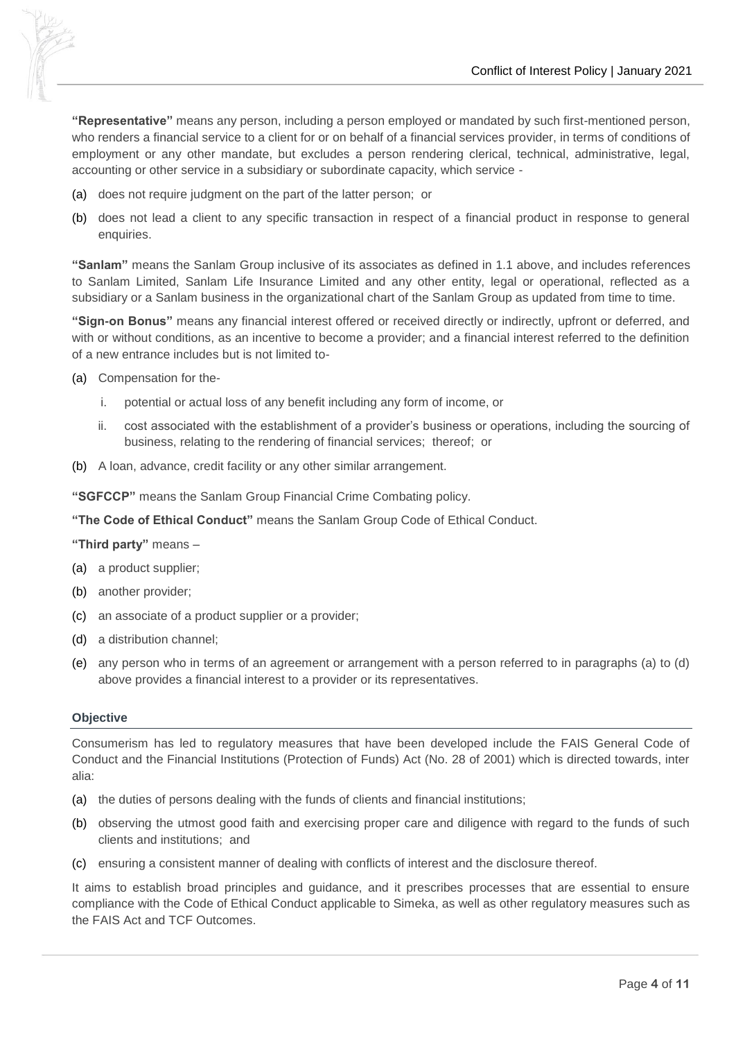

**"Representative"** means any person, including a person employed or mandated by such first-mentioned person, who renders a financial service to a client for or on behalf of a financial services provider, in terms of conditions of employment or any other mandate, but excludes a person rendering clerical, technical, administrative, legal, accounting or other service in a subsidiary or subordinate capacity, which service -

- (a) does not require judgment on the part of the latter person; or
- (b) does not lead a client to any specific transaction in respect of a financial product in response to general enquiries.

**"Sanlam"** means the Sanlam Group inclusive of its associates as defined in 1.1 above, and includes references to Sanlam Limited, Sanlam Life Insurance Limited and any other entity, legal or operational, reflected as a subsidiary or a Sanlam business in the organizational chart of the Sanlam Group as updated from time to time.

**"Sign-on Bonus"** means any financial interest offered or received directly or indirectly, upfront or deferred, and with or without conditions, as an incentive to become a provider; and a financial interest referred to the definition of a new entrance includes but is not limited to-

- (a) Compensation for the
	- i. potential or actual loss of any benefit including any form of income, or
	- ii. cost associated with the establishment of a provider's business or operations, including the sourcing of business, relating to the rendering of financial services; thereof; or
- (b) A loan, advance, credit facility or any other similar arrangement.

**"SGFCCP"** means the Sanlam Group Financial Crime Combating policy.

**"The Code of Ethical Conduct"** means the Sanlam Group Code of Ethical Conduct.

**"Third party"** means –

- (a) a product supplier;
- (b) another provider;
- (c) an associate of a product supplier or a provider;
- (d) a distribution channel;
- (e) any person who in terms of an agreement or arrangement with a person referred to in paragraphs (a) to (d) above provides a financial interest to a provider or its representatives.

#### **Objective**

Consumerism has led to regulatory measures that have been developed include the FAIS General Code of Conduct and the Financial Institutions (Protection of Funds) Act (No. 28 of 2001) which is directed towards, inter alia:

- (a) the duties of persons dealing with the funds of clients and financial institutions;
- (b) observing the utmost good faith and exercising proper care and diligence with regard to the funds of such clients and institutions; and
- (c) ensuring a consistent manner of dealing with conflicts of interest and the disclosure thereof.

It aims to establish broad principles and guidance, and it prescribes processes that are essential to ensure compliance with the Code of Ethical Conduct applicable to Simeka, as well as other regulatory measures such as the FAIS Act and TCF Outcomes.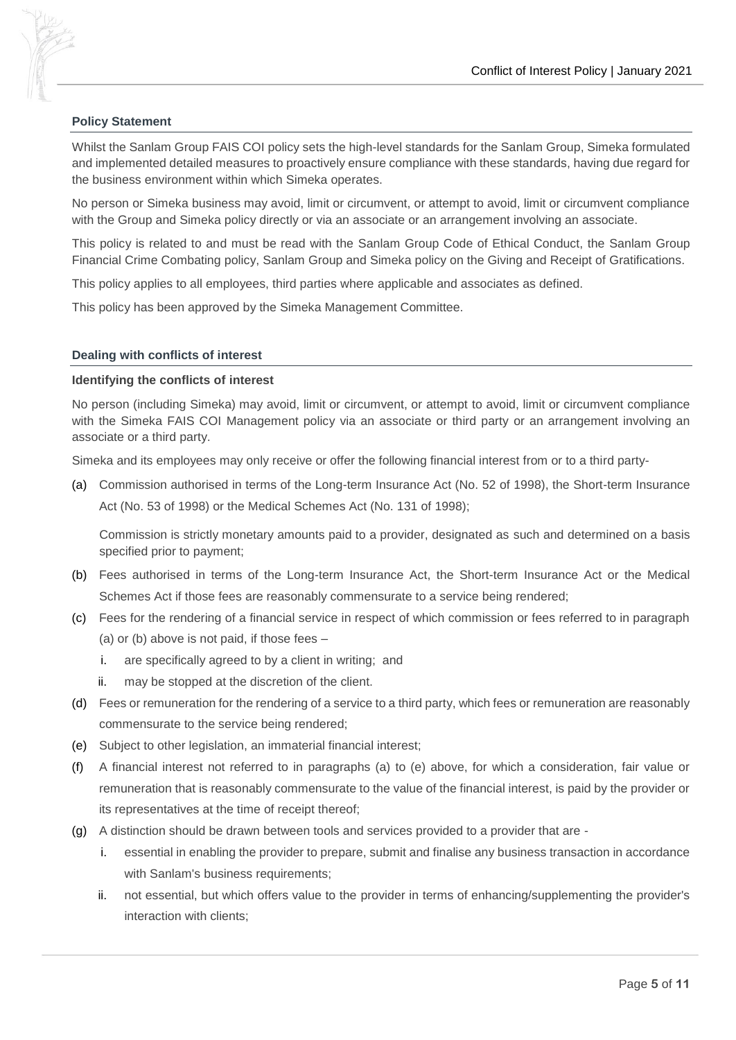

Whilst the Sanlam Group FAIS COI policy sets the high-level standards for the Sanlam Group, Simeka formulated and implemented detailed measures to proactively ensure compliance with these standards, having due regard for the business environment within which Simeka operates.

No person or Simeka business may avoid, limit or circumvent, or attempt to avoid, limit or circumvent compliance with the Group and Simeka policy directly or via an associate or an arrangement involving an associate.

This policy is related to and must be read with the Sanlam Group Code of Ethical Conduct, the Sanlam Group Financial Crime Combating policy, Sanlam Group and Simeka policy on the Giving and Receipt of Gratifications.

This policy applies to all employees, third parties where applicable and associates as defined.

This policy has been approved by the Simeka Management Committee.

#### **Dealing with conflicts of interest**

#### **Identifying the conflicts of interest**

No person (including Simeka) may avoid, limit or circumvent, or attempt to avoid, limit or circumvent compliance with the Simeka FAIS COI Management policy via an associate or third party or an arrangement involving an associate or a third party.

Simeka and its employees may only receive or offer the following financial interest from or to a third party-

(a) Commission authorised in terms of the Long-term Insurance Act (No. 52 of 1998), the Short-term Insurance Act (No. 53 of 1998) or the Medical Schemes Act (No. 131 of 1998);

Commission is strictly monetary amounts paid to a provider, designated as such and determined on a basis specified prior to payment;

- (b) Fees authorised in terms of the Long-term Insurance Act, the Short-term Insurance Act or the Medical Schemes Act if those fees are reasonably commensurate to a service being rendered;
- (c) Fees for the rendering of a financial service in respect of which commission or fees referred to in paragraph (a) or (b) above is not paid, if those fees –
	- i. are specifically agreed to by a client in writing; and
	- ii. may be stopped at the discretion of the client.
- (d) Fees or remuneration for the rendering of a service to a third party, which fees or remuneration are reasonably commensurate to the service being rendered;
- (e) Subject to other legislation, an immaterial financial interest;
- (f) A financial interest not referred to in paragraphs (a) to (e) above, for which a consideration, fair value or remuneration that is reasonably commensurate to the value of the financial interest, is paid by the provider or its representatives at the time of receipt thereof;
- (g) A distinction should be drawn between tools and services provided to a provider that are
	- i. essential in enabling the provider to prepare, submit and finalise any business transaction in accordance with Sanlam's business requirements;
	- ii. not essential, but which offers value to the provider in terms of enhancing/supplementing the provider's interaction with clients;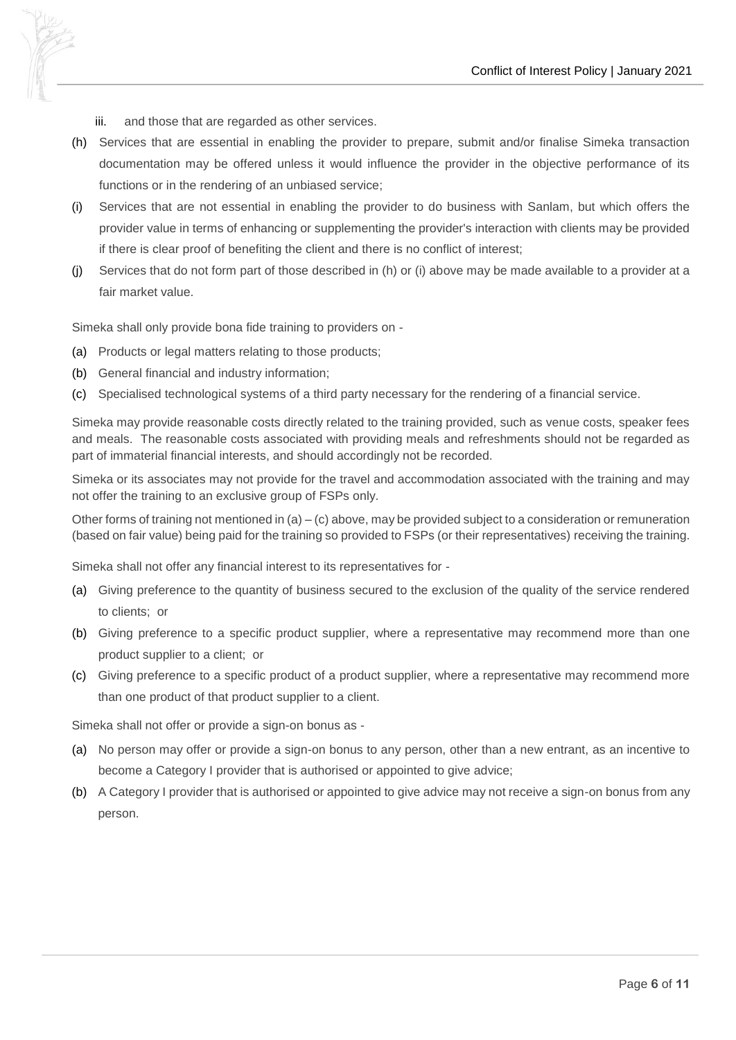

- iii. and those that are regarded as other services.
- (h) Services that are essential in enabling the provider to prepare, submit and/or finalise Simeka transaction documentation may be offered unless it would influence the provider in the objective performance of its functions or in the rendering of an unbiased service;
- (i) Services that are not essential in enabling the provider to do business with Sanlam, but which offers the provider value in terms of enhancing or supplementing the provider's interaction with clients may be provided if there is clear proof of benefiting the client and there is no conflict of interest;
- (j) Services that do not form part of those described in (h) or (i) above may be made available to a provider at a fair market value.

Simeka shall only provide bona fide training to providers on -

- (a) Products or legal matters relating to those products;
- (b) General financial and industry information;
- (c) Specialised technological systems of a third party necessary for the rendering of a financial service.

Simeka may provide reasonable costs directly related to the training provided, such as venue costs, speaker fees and meals. The reasonable costs associated with providing meals and refreshments should not be regarded as part of immaterial financial interests, and should accordingly not be recorded.

Simeka or its associates may not provide for the travel and accommodation associated with the training and may not offer the training to an exclusive group of FSPs only.

Other forms of training not mentioned in (a) – (c) above, may be provided subject to a consideration or remuneration (based on fair value) being paid for the training so provided to FSPs (or their representatives) receiving the training.

Simeka shall not offer any financial interest to its representatives for -

- (a) Giving preference to the quantity of business secured to the exclusion of the quality of the service rendered to clients; or
- (b) Giving preference to a specific product supplier, where a representative may recommend more than one product supplier to a client; or
- (c) Giving preference to a specific product of a product supplier, where a representative may recommend more than one product of that product supplier to a client.

Simeka shall not offer or provide a sign-on bonus as -

- (a) No person may offer or provide a sign-on bonus to any person, other than a new entrant, as an incentive to become a Category I provider that is authorised or appointed to give advice;
- (b) A Category I provider that is authorised or appointed to give advice may not receive a sign-on bonus from any person.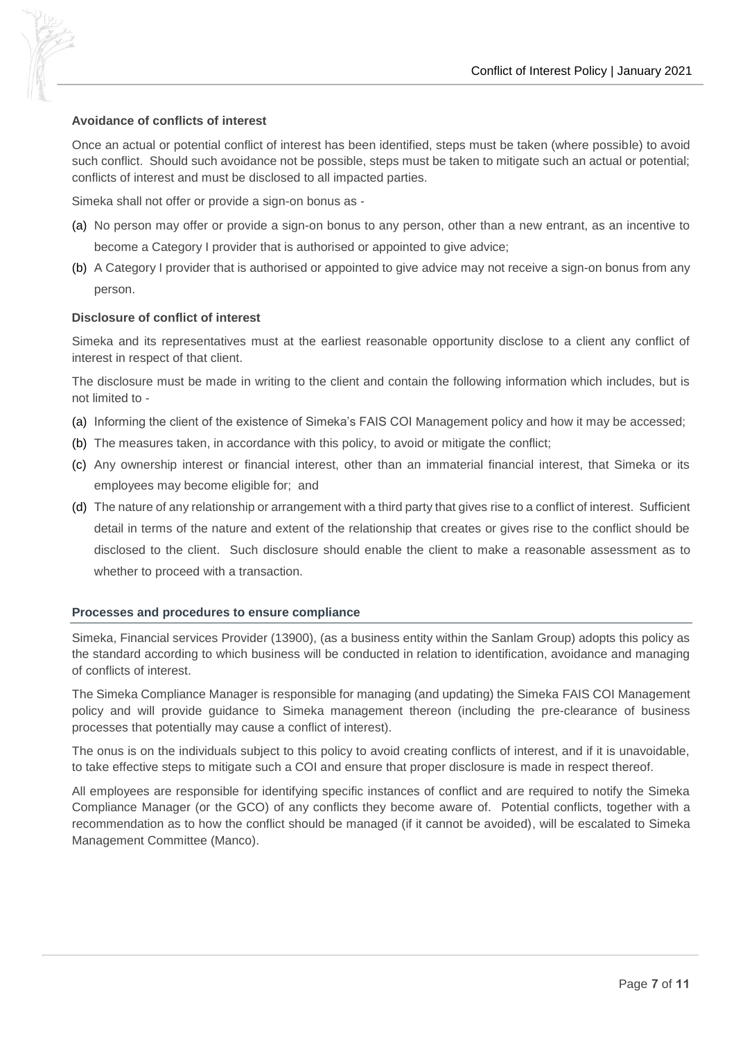

#### **Avoidance of conflicts of interest**

Once an actual or potential conflict of interest has been identified, steps must be taken (where possible) to avoid such conflict. Should such avoidance not be possible, steps must be taken to mitigate such an actual or potential; conflicts of interest and must be disclosed to all impacted parties.

Simeka shall not offer or provide a sign-on bonus as -

- (a) No person may offer or provide a sign-on bonus to any person, other than a new entrant, as an incentive to become a Category I provider that is authorised or appointed to give advice;
- (b) A Category I provider that is authorised or appointed to give advice may not receive a sign-on bonus from any person.

#### **Disclosure of conflict of interest**

Simeka and its representatives must at the earliest reasonable opportunity disclose to a client any conflict of interest in respect of that client.

The disclosure must be made in writing to the client and contain the following information which includes, but is not limited to -

- (a) Informing the client of the existence of Simeka's FAIS COI Management policy and how it may be accessed;
- (b) The measures taken, in accordance with this policy, to avoid or mitigate the conflict;
- (c) Any ownership interest or financial interest, other than an immaterial financial interest, that Simeka or its employees may become eligible for; and
- (d) The nature of any relationship or arrangement with a third party that gives rise to a conflict of interest. Sufficient detail in terms of the nature and extent of the relationship that creates or gives rise to the conflict should be disclosed to the client. Such disclosure should enable the client to make a reasonable assessment as to whether to proceed with a transaction.

#### **Processes and procedures to ensure compliance**

Simeka, Financial services Provider (13900), (as a business entity within the Sanlam Group) adopts this policy as the standard according to which business will be conducted in relation to identification, avoidance and managing of conflicts of interest.

The Simeka Compliance Manager is responsible for managing (and updating) the Simeka FAIS COI Management policy and will provide guidance to Simeka management thereon (including the pre-clearance of business processes that potentially may cause a conflict of interest).

The onus is on the individuals subject to this policy to avoid creating conflicts of interest, and if it is unavoidable, to take effective steps to mitigate such a COI and ensure that proper disclosure is made in respect thereof.

All employees are responsible for identifying specific instances of conflict and are required to notify the Simeka Compliance Manager (or the GCO) of any conflicts they become aware of. Potential conflicts, together with a recommendation as to how the conflict should be managed (if it cannot be avoided), will be escalated to Simeka Management Committee (Manco).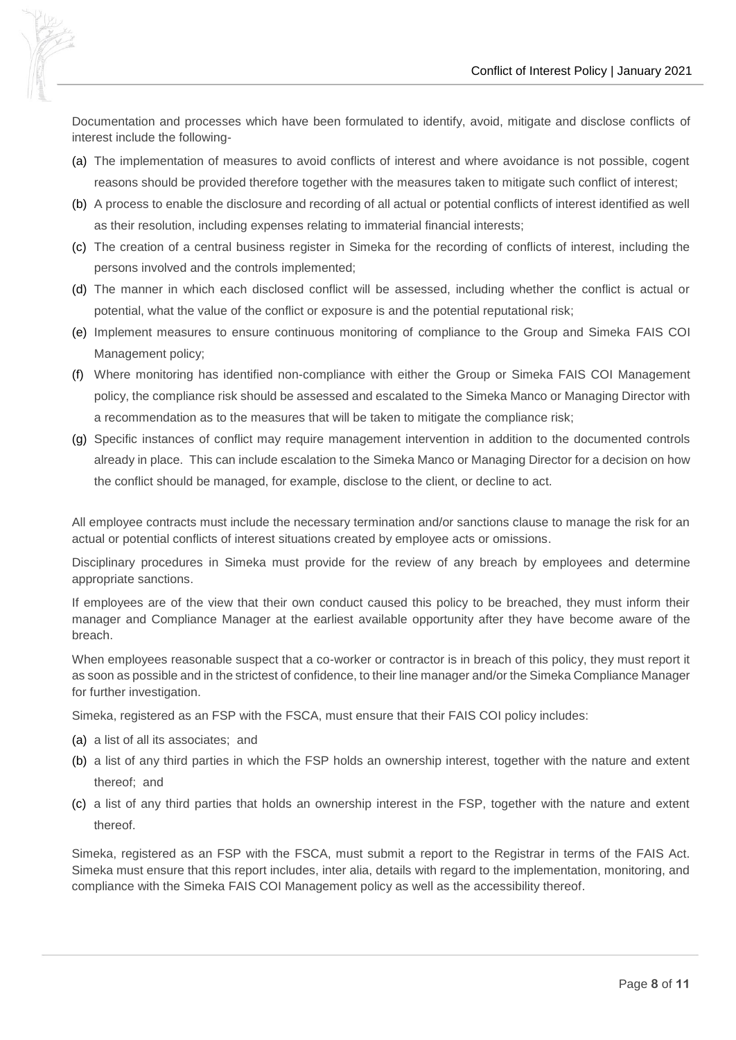

Documentation and processes which have been formulated to identify, avoid, mitigate and disclose conflicts of interest include the following-

- (a) The implementation of measures to avoid conflicts of interest and where avoidance is not possible, cogent reasons should be provided therefore together with the measures taken to mitigate such conflict of interest;
- (b) A process to enable the disclosure and recording of all actual or potential conflicts of interest identified as well as their resolution, including expenses relating to immaterial financial interests;
- (c) The creation of a central business register in Simeka for the recording of conflicts of interest, including the persons involved and the controls implemented;
- (d) The manner in which each disclosed conflict will be assessed, including whether the conflict is actual or potential, what the value of the conflict or exposure is and the potential reputational risk;
- (e) Implement measures to ensure continuous monitoring of compliance to the Group and Simeka FAIS COI Management policy;
- (f) Where monitoring has identified non-compliance with either the Group or Simeka FAIS COI Management policy, the compliance risk should be assessed and escalated to the Simeka Manco or Managing Director with a recommendation as to the measures that will be taken to mitigate the compliance risk;
- (g) Specific instances of conflict may require management intervention in addition to the documented controls already in place. This can include escalation to the Simeka Manco or Managing Director for a decision on how the conflict should be managed, for example, disclose to the client, or decline to act.

All employee contracts must include the necessary termination and/or sanctions clause to manage the risk for an actual or potential conflicts of interest situations created by employee acts or omissions.

Disciplinary procedures in Simeka must provide for the review of any breach by employees and determine appropriate sanctions.

If employees are of the view that their own conduct caused this policy to be breached, they must inform their manager and Compliance Manager at the earliest available opportunity after they have become aware of the breach.

When employees reasonable suspect that a co-worker or contractor is in breach of this policy, they must report it as soon as possible and in the strictest of confidence, to their line manager and/or the Simeka Compliance Manager for further investigation.

Simeka, registered as an FSP with the FSCA, must ensure that their FAIS COI policy includes:

- (a) a list of all its associates; and
- (b) a list of any third parties in which the FSP holds an ownership interest, together with the nature and extent thereof; and
- (c) a list of any third parties that holds an ownership interest in the FSP, together with the nature and extent thereof.

Simeka, registered as an FSP with the FSCA, must submit a report to the Registrar in terms of the FAIS Act. Simeka must ensure that this report includes, inter alia, details with regard to the implementation, monitoring, and compliance with the Simeka FAIS COI Management policy as well as the accessibility thereof.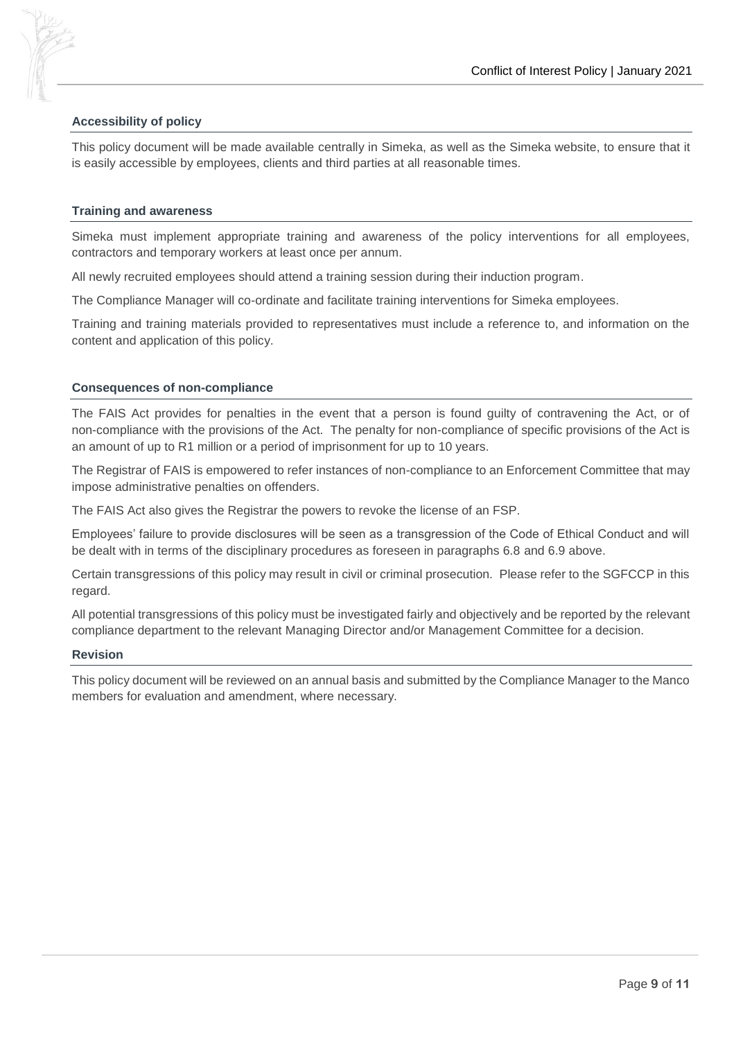



#### **Accessibility of policy**

This policy document will be made available centrally in Simeka, as well as the Simeka website, to ensure that it is easily accessible by employees, clients and third parties at all reasonable times.

#### **Training and awareness**

Simeka must implement appropriate training and awareness of the policy interventions for all employees, contractors and temporary workers at least once per annum.

All newly recruited employees should attend a training session during their induction program.

The Compliance Manager will co-ordinate and facilitate training interventions for Simeka employees.

Training and training materials provided to representatives must include a reference to, and information on the content and application of this policy.

#### **Consequences of non-compliance**

The FAIS Act provides for penalties in the event that a person is found guilty of contravening the Act, or of non-compliance with the provisions of the Act. The penalty for non-compliance of specific provisions of the Act is an amount of up to R1 million or a period of imprisonment for up to 10 years.

The Registrar of FAIS is empowered to refer instances of non-compliance to an Enforcement Committee that may impose administrative penalties on offenders.

The FAIS Act also gives the Registrar the powers to revoke the license of an FSP.

Employees' failure to provide disclosures will be seen as a transgression of the Code of Ethical Conduct and will be dealt with in terms of the disciplinary procedures as foreseen in paragraphs 6.8 and 6.9 above.

Certain transgressions of this policy may result in civil or criminal prosecution. Please refer to the SGFCCP in this regard.

All potential transgressions of this policy must be investigated fairly and objectively and be reported by the relevant compliance department to the relevant Managing Director and/or Management Committee for a decision.

#### **Revision**

This policy document will be reviewed on an annual basis and submitted by the Compliance Manager to the Manco members for evaluation and amendment, where necessary.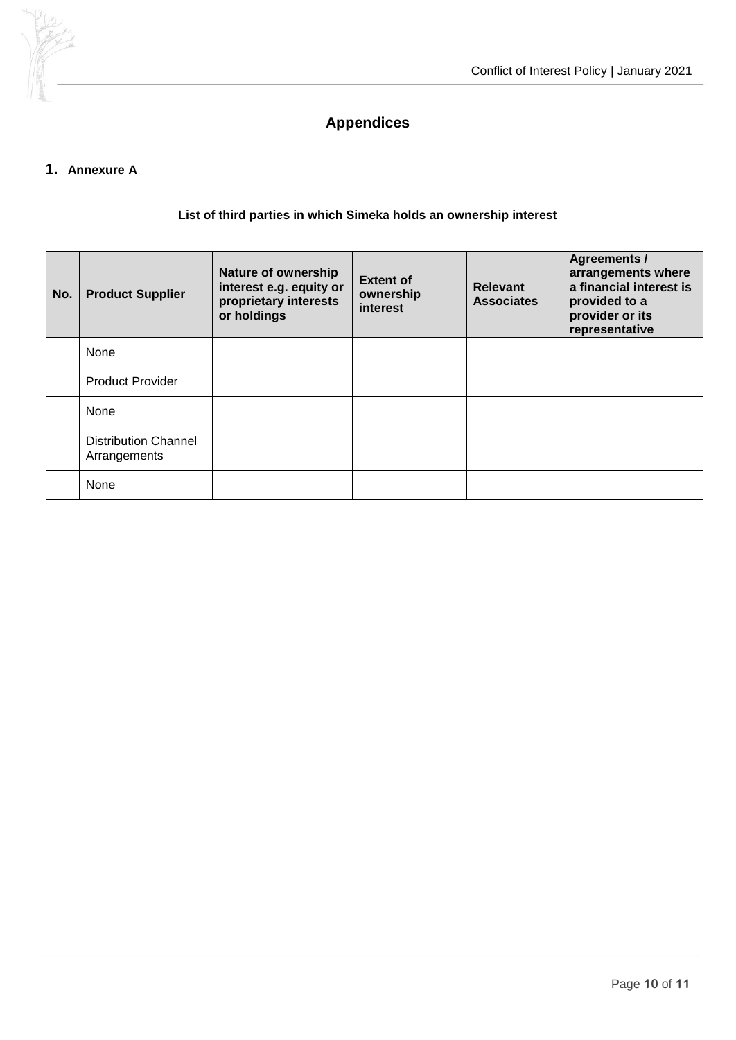

# **Appendices**

# **1. Annexure A**

## **List of third parties in which Simeka holds an ownership interest**

| No. | <b>Product Supplier</b>                     | <b>Nature of ownership</b><br>interest e.g. equity or<br>proprietary interests<br>or holdings | <b>Extent of</b><br>ownership<br>interest | <b>Relevant</b><br><b>Associates</b> | <b>Agreements /</b><br>arrangements where<br>a financial interest is<br>provided to a<br>provider or its<br>representative |
|-----|---------------------------------------------|-----------------------------------------------------------------------------------------------|-------------------------------------------|--------------------------------------|----------------------------------------------------------------------------------------------------------------------------|
|     | None                                        |                                                                                               |                                           |                                      |                                                                                                                            |
|     | <b>Product Provider</b>                     |                                                                                               |                                           |                                      |                                                                                                                            |
|     | None                                        |                                                                                               |                                           |                                      |                                                                                                                            |
|     | <b>Distribution Channel</b><br>Arrangements |                                                                                               |                                           |                                      |                                                                                                                            |
|     | None                                        |                                                                                               |                                           |                                      |                                                                                                                            |